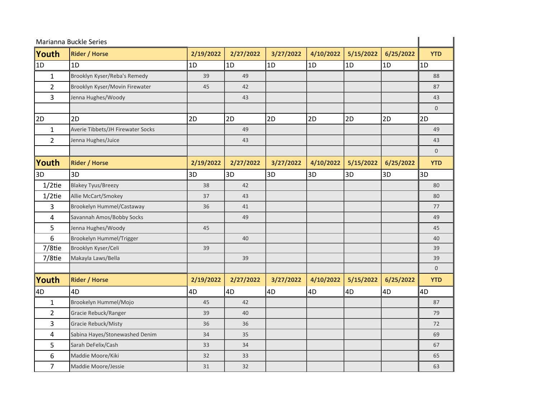| Marianna Buckle Series |                                   |           |           |           |           |           |           |                |
|------------------------|-----------------------------------|-----------|-----------|-----------|-----------|-----------|-----------|----------------|
| Youth                  | <b>Rider / Horse</b>              | 2/19/2022 | 2/27/2022 | 3/27/2022 | 4/10/2022 | 5/15/2022 | 6/25/2022 | <b>YTD</b>     |
| $\overline{1D}$        | 1D                                | 1D        | 1D        | 1D        | 1D        | 1D        | 1D        | 1D             |
| $\mathbf{1}$           | Brooklyn Kyser/Reba's Remedy      | 39        | 49        |           |           |           |           | 88             |
| $\overline{2}$         | Brooklyn Kyser/Movin Firewater    | 45        | 42        |           |           |           |           | 87             |
| 3                      | Jenna Hughes/Woody                |           | 43        |           |           |           |           | 43             |
|                        |                                   |           |           |           |           |           |           | $\mathbf 0$    |
| 2D                     | 2D                                | 2D        | 2D        | 2D        | 2D        | 2D        | 2D        | 2D             |
| $\mathbf{1}$           | Averie Tibbets/JH Firewater Socks |           | 49        |           |           |           |           | 49             |
| $\overline{2}$         | Jenna Hughes/Juice                |           | 43        |           |           |           |           | 43             |
|                        |                                   |           |           |           |           |           |           | $\overline{0}$ |
| Youth                  | <b>Rider / Horse</b>              | 2/19/2022 | 2/27/2022 | 3/27/2022 | 4/10/2022 | 5/15/2022 | 6/25/2022 | <b>YTD</b>     |
| 3D                     | 3D                                | 3D        | 3D        | 3D        | 3D        | 3D        | 3D        | 3D             |
| $1/2$ tie              | <b>Blakey Tyus/Breezy</b>         | 38        | 42        |           |           |           |           | 80             |
| $1/2$ tie              | Allie McCart/Smokey               | 37        | 43        |           |           |           |           | 80             |
| 3                      | Brookelyn Hummel/Castaway         | 36        | 41        |           |           |           |           | 77             |
| 4                      | Savannah Amos/Bobby Socks         |           | 49        |           |           |           |           | 49             |
| 5                      | Jenna Hughes/Woody                | 45        |           |           |           |           |           | 45             |
| 6                      | Brookelyn Hummel/Trigger          |           | 40        |           |           |           |           | 40             |
| 7/8tie                 | Brooklyn Kyser/Celi               | 39        |           |           |           |           |           | 39             |
| 7/8tie                 | Makayla Laws/Bella                |           | 39        |           |           |           |           | 39             |
|                        |                                   |           |           |           |           |           |           | $\mathbf{0}$   |
| Youth                  | <b>Rider / Horse</b>              | 2/19/2022 | 2/27/2022 | 3/27/2022 | 4/10/2022 | 5/15/2022 | 6/25/2022 | <b>YTD</b>     |
| 4D                     | 4D                                | 4D        | 4D        | 4D        | 4D        | 4D        | 4D        | 4D             |
| $\mathbf{1}$           | Brookelyn Hummel/Mojo             | 45        | 42        |           |           |           |           | 87             |
| $\overline{2}$         | Gracie Rebuck/Ranger              | 39        | 40        |           |           |           |           | 79             |
| 3                      | Gracie Rebuck/Misty               | 36        | 36        |           |           |           |           | 72             |
| 4                      | Sabina Hayes/Stonewashed Denim    | 34        | 35        |           |           |           |           | 69             |
| 5                      | Sarah DeFelix/Cash                | 33        | 34        |           |           |           |           | 67             |
| 6                      | Maddie Moore/Kiki                 | 32        | 33        |           |           |           |           | 65             |
| $\overline{7}$         | Maddie Moore/Jessie               | 31        | 32        |           |           |           |           | 63             |